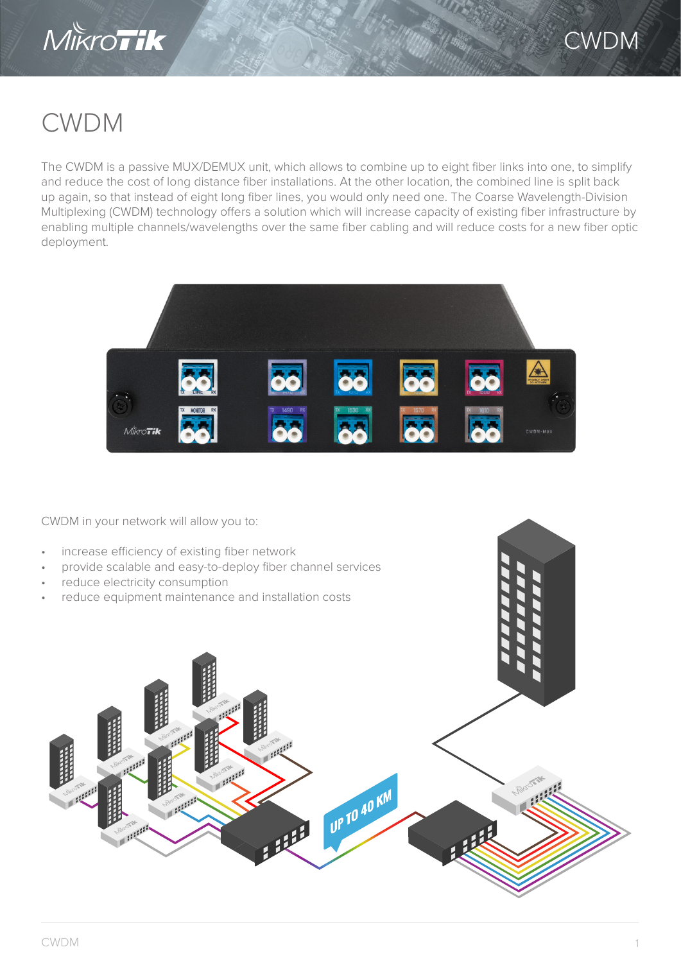



# CWDM

The CWDM is a passive MUX/DEMUX unit, which allows to combine up to eight fiber links into one, to simplify and reduce the cost of long distance fiber installations. At the other location, the combined line is split back up again, so that instead of eight long fiber lines, you would only need one. The Coarse Wavelength-Division Multiplexing (CWDM) technology offers a solution which will increase capacity of existing fiber infrastructure by enabling multiple channels/wavelengths over the same fiber cabling and will reduce costs for a new fiber optic deployment.



CWDM in your network will allow you to:

- increase efficiency of existing fiber network
- provide scalable and easy-to-deploy fiber channel services
- reduce electricity consumption
- reduce equipment maintenance and installation costs

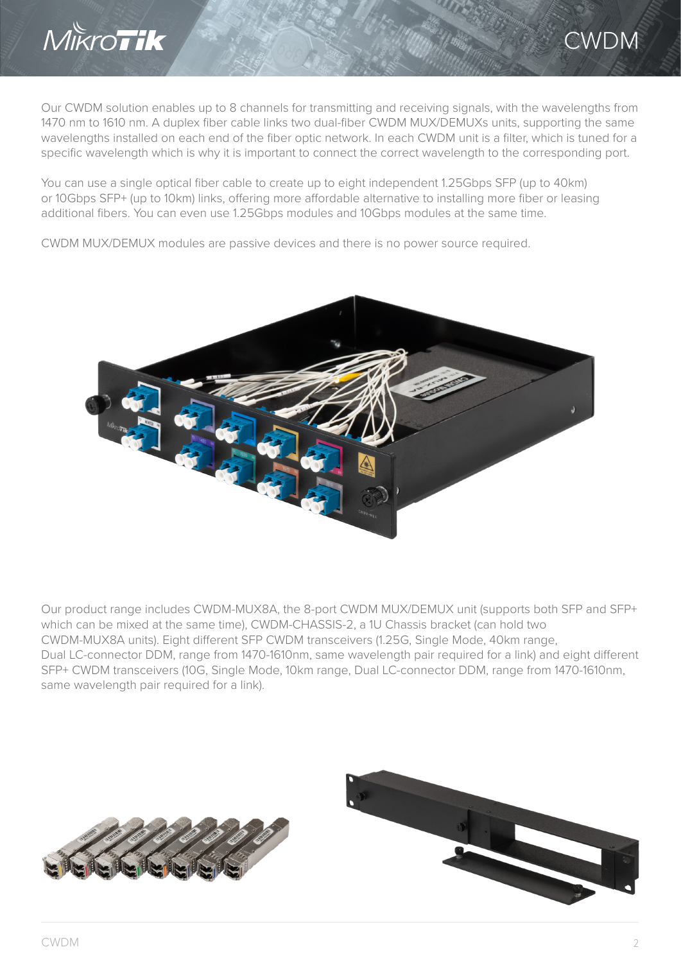

#### CWDM

Our CWDM solution enables up to 8 channels for transmitting and receiving signals, with the wavelengths from 1470 nm to 1610 nm. A duplex fiber cable links two dual-fiber CWDM MUX/DEMUXs units, supporting the same wavelengths installed on each end of the fiber optic network. In each CWDM unit is a filter, which is tuned for a specific wavelength which is why it is important to connect the correct wavelength to the corresponding port.

You can use a single optical fiber cable to create up to eight independent 1.25Gbps SFP (up to 40km) or 10Gbps SFP+ (up to 10km) links, offering more affordable alternative to installing more fiber or leasing additional fibers. You can even use 1.25Gbps modules and 10Gbps modules at the same time.

CWDM MUX/DEMUX modules are passive devices and there is no power source required.



Our product range includes CWDM-MUX8A, the 8-port CWDM MUX/DEMUX unit (supports both SFP and SFP+ which can be mixed at the same time), CWDM-CHASSIS-2, a 1U Chassis bracket (can hold two CWDM-MUX8A units). Eight different SFP CWDM transceivers (1.25G, Single Mode, 40km range, Dual LC-connector DDM, range from 1470-1610nm, same wavelength pair required for a link) and eight different SFP+ CWDM transceivers (10G, Single Mode, 10km range, Dual LC-connector DDM, range from 1470-1610nm, same wavelength pair required for a link).